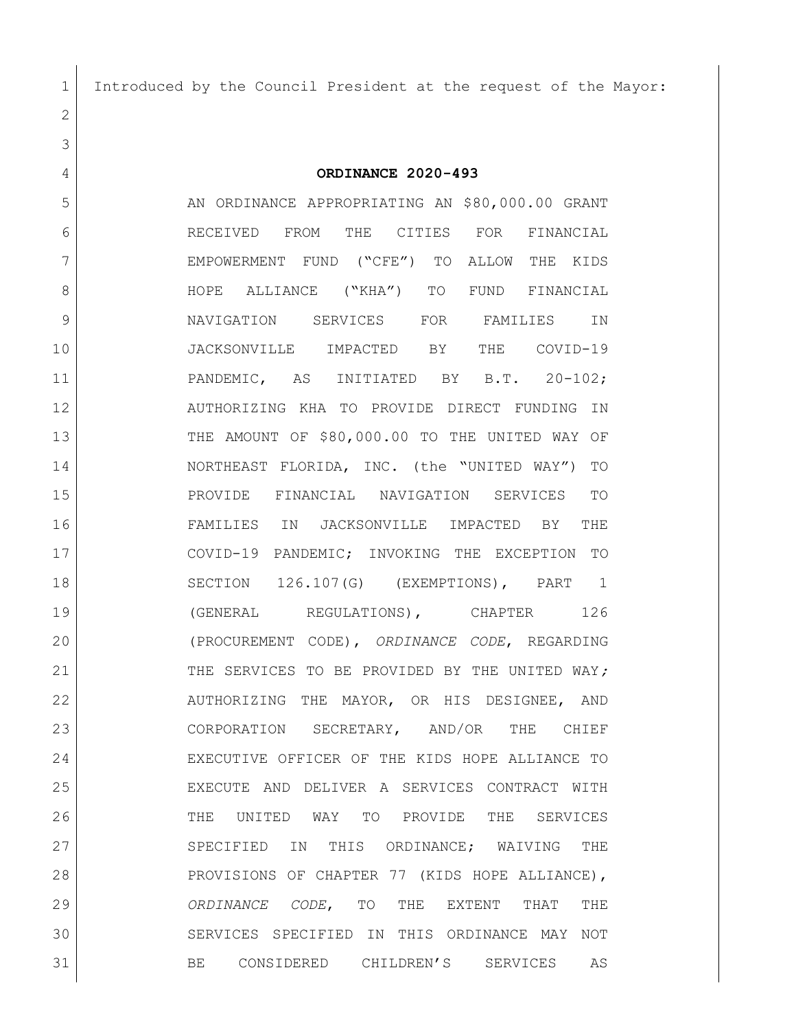Introduced by the Council President at the request of the Mayor:

 **ORDINANCE 2020-493** 5 AN ORDINANCE APPROPRIATING AN \$80,000.00 GRANT RECEIVED FROM THE CITIES FOR FINANCIAL EMPOWERMENT FUND ("CFE") TO ALLOW THE KIDS 8 HOPE ALLIANCE ("KHA") TO FUND FINANCIAL NAVIGATION SERVICES FOR FAMILIES IN JACKSONVILLE IMPACTED BY THE COVID-19 PANDEMIC, AS INITIATED BY B.T. 20-102; AUTHORIZING KHA TO PROVIDE DIRECT FUNDING IN THE AMOUNT OF \$80,000.00 TO THE UNITED WAY OF NORTHEAST FLORIDA, INC. (the "UNITED WAY") TO PROVIDE FINANCIAL NAVIGATION SERVICES TO FAMILIES IN JACKSONVILLE IMPACTED BY THE COVID-19 PANDEMIC; INVOKING THE EXCEPTION TO SECTION 126.107(G) (EXEMPTIONS), PART 1 19 | (GENERAL REGULATIONS), CHAPTER 126 (PROCUREMENT CODE), *ORDINANCE CODE*, REGARDING THE SERVICES TO BE PROVIDED BY THE UNITED WAY*;*  22 AUTHORIZING THE MAYOR, OR HIS DESIGNEE, AND 23 CORPORATION SECRETARY, AND/OR THE CHIEF EXECUTIVE OFFICER OF THE KIDS HOPE ALLIANCE TO EXECUTE AND DELIVER A SERVICES CONTRACT WITH THE UNITED WAY TO PROVIDE THE SERVICES 27 SPECIFIED IN THIS ORDINANCE; WAIVING THE 28 PROVISIONS OF CHAPTER 77 (KIDS HOPE ALLIANCE),

 *ORDINANCE CODE*, TO THE EXTENT THAT THE SERVICES SPECIFIED IN THIS ORDINANCE MAY NOT 31 BE CONSIDERED CHILDREN'S SERVICES AS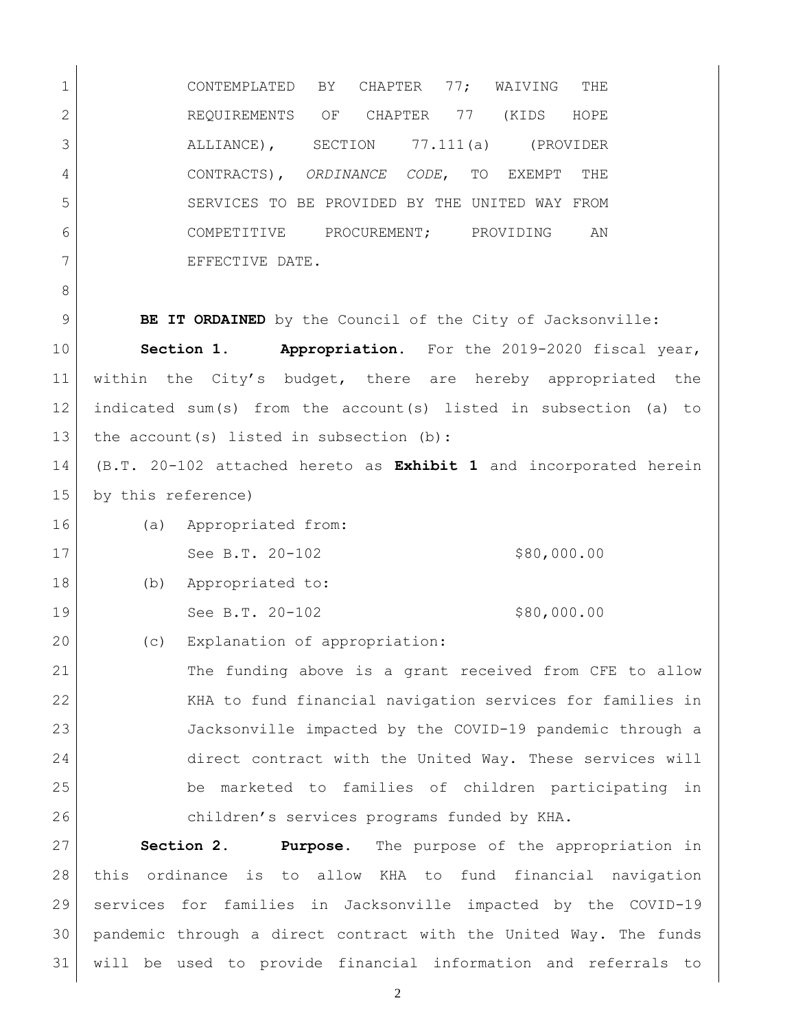CONTEMPLATED BY CHAPTER 77; WAIVING THE 2 REQUIREMENTS OF CHAPTER 77 (KIDS HOPE ALLIANCE), SECTION 77.111(a) (PROVIDER CONTRACTS), *ORDINANCE CODE*, TO EXEMPT THE SERVICES TO BE PROVIDED BY THE UNITED WAY FROM COMPETITIVE PROCUREMENT; PROVIDING AN 7 EFFECTIVE DATE. **BE IT ORDAINED** by the Council of the City of Jacksonville: **Section 1. Appropriation.** For the 2019-2020 fiscal year, within the City's budget, there are hereby appropriated the indicated sum(s) from the account(s) listed in subsection (a) to 13 the account(s) listed in subsection (b): (B.T. 20-102 attached hereto as **Exhibit 1** and incorporated herein by this reference) 16 (a) Appropriated from: 17 See B.T. 20-102 \$80,000.00 18 (b) Appropriated to: 19 See B.T. 20-102 \$80,000.00 20 (c) Explanation of appropriation: The funding above is a grant received from CFE to allow KHA to fund financial navigation services for families in Jacksonville impacted by the COVID-19 pandemic through a direct contract with the United Way. These services will be marketed to families of children participating in children's services programs funded by KHA. **Section 2. Purpose.** The purpose of the appropriation in this ordinance is to allow KHA to fund financial navigation services for families in Jacksonville impacted by the COVID-19

will be used to provide financial information and referrals to

pandemic through a direct contract with the United Way. The funds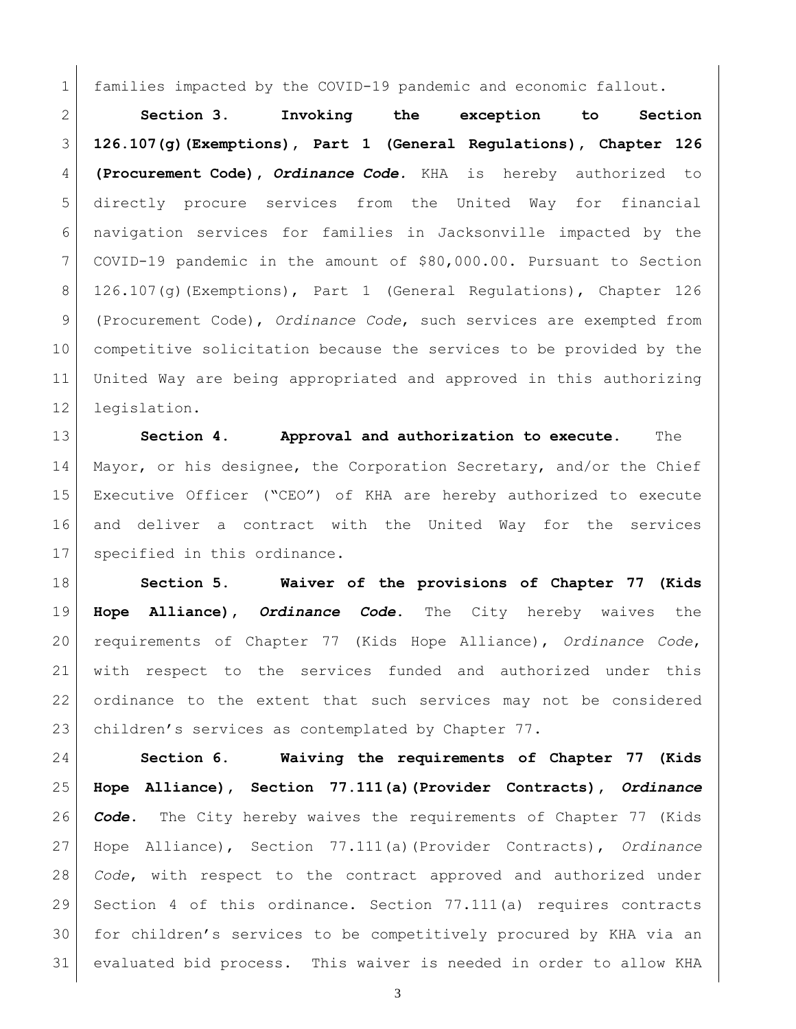families impacted by the COVID-19 pandemic and economic fallout.

 **Section 3. Invoking the exception to Section 126.107(g)(Exemptions), Part 1 (General Regulations), Chapter 126 (Procurement Code),** *Ordinance Code.* KHA is hereby authorized to directly procure services from the United Way for financial navigation services for families in Jacksonville impacted by the COVID-19 pandemic in the amount of \$80,000.00. Pursuant to Section 126.107(g)(Exemptions), Part 1 (General Regulations), Chapter 126 (Procurement Code), *Ordinance Code*, such services are exempted from competitive solicitation because the services to be provided by the United Way are being appropriated and approved in this authorizing legislation.

 **Section 4. Approval and authorization to execute.** The Mayor, or his designee, the Corporation Secretary, and/or the Chief Executive Officer ("CEO") of KHA are hereby authorized to execute and deliver a contract with the United Way for the services specified in this ordinance.

 **Section 5. Waiver of the provisions of Chapter 77 (Kids Hope Alliance),** *Ordinance Code***.** The City hereby waives the requirements of Chapter 77 (Kids Hope Alliance), *Ordinance Code*, with respect to the services funded and authorized under this ordinance to the extent that such services may not be considered children's services as contemplated by Chapter 77.

 **Section 6. Waiving the requirements of Chapter 77 (Kids Hope Alliance), Section 77.111(a)(Provider Contracts),** *Ordinance Code***.** The City hereby waives the requirements of Chapter 77 (Kids Hope Alliance), Section 77.111(a)(Provider Contracts), *Ordinance Code*, with respect to the contract approved and authorized under Section 4 of this ordinance. Section 77.111(a) requires contracts for children's services to be competitively procured by KHA via an evaluated bid process. This waiver is needed in order to allow KHA